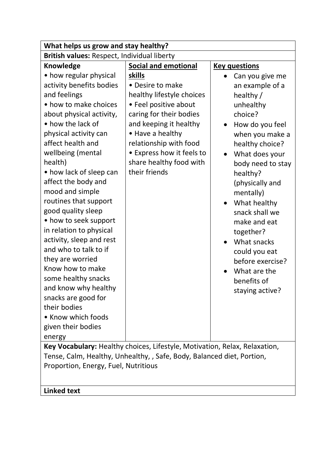| What helps us grow and stay healthy?                                                                                                                                                                                                                                                                                                                                                                                                                                                                                                                                                                                                        |                                                                                                                                                                                                                                                              |                                                                                                                                                                                                                                                                                                                                                                                          |
|---------------------------------------------------------------------------------------------------------------------------------------------------------------------------------------------------------------------------------------------------------------------------------------------------------------------------------------------------------------------------------------------------------------------------------------------------------------------------------------------------------------------------------------------------------------------------------------------------------------------------------------------|--------------------------------------------------------------------------------------------------------------------------------------------------------------------------------------------------------------------------------------------------------------|------------------------------------------------------------------------------------------------------------------------------------------------------------------------------------------------------------------------------------------------------------------------------------------------------------------------------------------------------------------------------------------|
| British values: Respect, Individual liberty                                                                                                                                                                                                                                                                                                                                                                                                                                                                                                                                                                                                 |                                                                                                                                                                                                                                                              |                                                                                                                                                                                                                                                                                                                                                                                          |
| <b>Knowledge</b>                                                                                                                                                                                                                                                                                                                                                                                                                                                                                                                                                                                                                            | <b>Social and emotional</b>                                                                                                                                                                                                                                  | <b>Key questions</b>                                                                                                                                                                                                                                                                                                                                                                     |
| • how regular physical<br>activity benefits bodies<br>and feelings<br>• how to make choices<br>about physical activity,<br>• how the lack of<br>physical activity can<br>affect health and<br>wellbeing (mental<br>health)<br>• how lack of sleep can<br>affect the body and<br>mood and simple<br>routines that support<br>good quality sleep<br>• how to seek support<br>in relation to physical<br>activity, sleep and rest<br>and who to talk to if<br>they are worried<br>Know how to make<br>some healthy snacks<br>and know why healthy<br>snacks are good for<br>their bodies<br>• Know which foods<br>given their bodies<br>energy | skills<br>• Desire to make<br>healthy lifestyle choices<br>• Feel positive about<br>caring for their bodies<br>and keeping it healthy<br>• Have a healthy<br>relationship with food<br>• Express how it feels to<br>share healthy food with<br>their friends | Can you give me<br>an example of a<br>healthy /<br>unhealthy<br>choice?<br>How do you feel<br>when you make a<br>healthy choice?<br>What does your<br>body need to stay<br>healthy?<br>(physically and<br>mentally)<br>What healthy<br>snack shall we<br>make and eat<br>together?<br>What snacks<br>could you eat<br>before exercise?<br>What are the<br>benefits of<br>staying active? |
| Key Vocabulary: Healthy choices, Lifestyle, Motivation, Relax, Relaxation,                                                                                                                                                                                                                                                                                                                                                                                                                                                                                                                                                                  |                                                                                                                                                                                                                                                              |                                                                                                                                                                                                                                                                                                                                                                                          |
| Tense, Calm, Healthy, Unhealthy, , Safe, Body, Balanced diet, Portion,                                                                                                                                                                                                                                                                                                                                                                                                                                                                                                                                                                      |                                                                                                                                                                                                                                                              |                                                                                                                                                                                                                                                                                                                                                                                          |
| Proportion, Energy, Fuel, Nutritious                                                                                                                                                                                                                                                                                                                                                                                                                                                                                                                                                                                                        |                                                                                                                                                                                                                                                              |                                                                                                                                                                                                                                                                                                                                                                                          |
| <b>Linked text</b>                                                                                                                                                                                                                                                                                                                                                                                                                                                                                                                                                                                                                          |                                                                                                                                                                                                                                                              |                                                                                                                                                                                                                                                                                                                                                                                          |